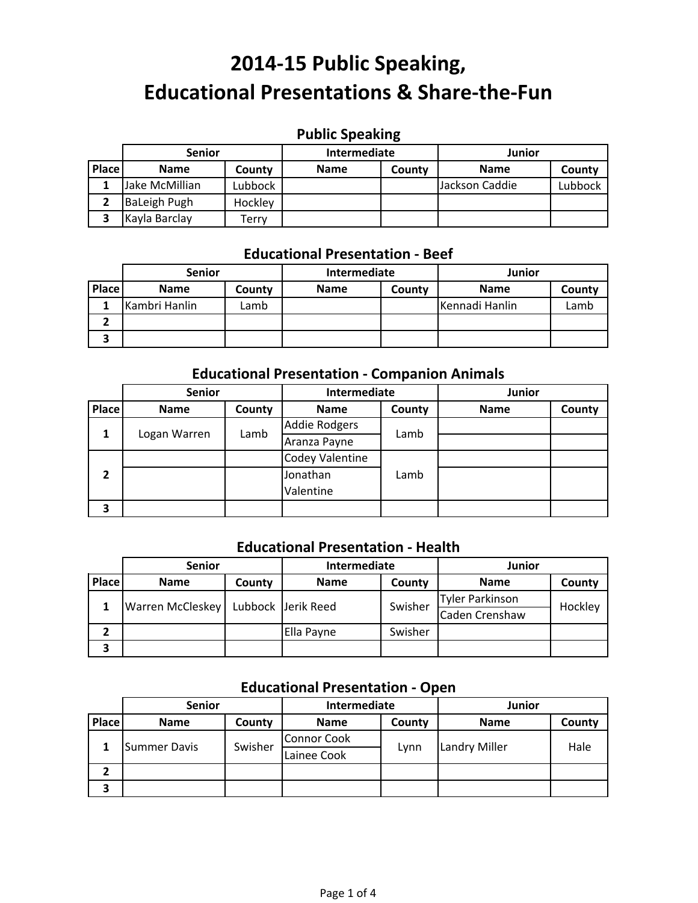# **Public Speaking**

|       | <b>Senior</b>  |         | Intermediate |        | Junior         |         |
|-------|----------------|---------|--------------|--------|----------------|---------|
| Place | <b>Name</b>    | County  | <b>Name</b>  | County | <b>Name</b>    | County  |
|       | Jake McMillian | Lubbock |              |        | Jackson Caddie | Lubbock |
|       | BaLeigh Pugh   | Hockley |              |        |                |         |
|       | Kayla Barclay  | Ferrv   |              |        |                |         |

## **Educational Presentation ‐ Beef**

|       | <b>Senior</b> |        | Intermediate |        | <b>Junior</b>  |        |
|-------|---------------|--------|--------------|--------|----------------|--------|
| Place | <b>Name</b>   | County | <b>Name</b>  | County | <b>Name</b>    | County |
|       | Kambri Hanlin | Lamb   |              |        | Kennadi Hanlin | Lamb   |
|       |               |        |              |        |                |        |
|       |               |        |              |        |                |        |

#### **Educational Presentation ‐ Companion Animals**

|       | <b>Senior</b> |        | Intermediate           |        | Junior      |        |
|-------|---------------|--------|------------------------|--------|-------------|--------|
| Place | <b>Name</b>   | County | <b>Name</b>            | County | <b>Name</b> | County |
| 1     |               | Lamb   | <b>Addie Rodgers</b>   | Lamb   |             |        |
|       | Logan Warren  |        | Aranza Payne           |        |             |        |
|       |               |        | <b>Codey Valentine</b> |        |             |        |
| 2     |               |        | Jonathan               | Lamb   |             |        |
|       |               |        | Valentine              |        |             |        |
| 3     |               |        |                        |        |             |        |

#### **Educational Presentation ‐ Health**

|       | <b>Senior</b>           |        | Intermediate       |         | <b>Junior</b>          |         |
|-------|-------------------------|--------|--------------------|---------|------------------------|---------|
| Place | <b>Name</b>             | County | <b>Name</b>        | County  | <b>Name</b>            | County  |
|       | <b>Warren McCleskey</b> |        | Lubbock Jerik Reed | Swisher | <b>Tyler Parkinson</b> | Hockley |
|       |                         |        |                    |         | <b>Caden Crenshaw</b>  |         |
|       |                         |        | Ella Payne         | Swisher |                        |         |
| э     |                         |        |                    |         |                        |         |

### **Educational Presentation ‐ Open**

|       | <b>Senior</b> |         | Intermediate       |        | <b>Junior</b>        |        |
|-------|---------------|---------|--------------------|--------|----------------------|--------|
| Place | <b>Name</b>   | County  | <b>Name</b>        | County | <b>Name</b>          | County |
|       | Summer Davis  | Swisher | <b>Connor Cook</b> | Lynn   | <b>Landry Miller</b> | Hale   |
|       |               |         | Lainee Cook        |        |                      |        |
| 2     |               |         |                    |        |                      |        |
| З     |               |         |                    |        |                      |        |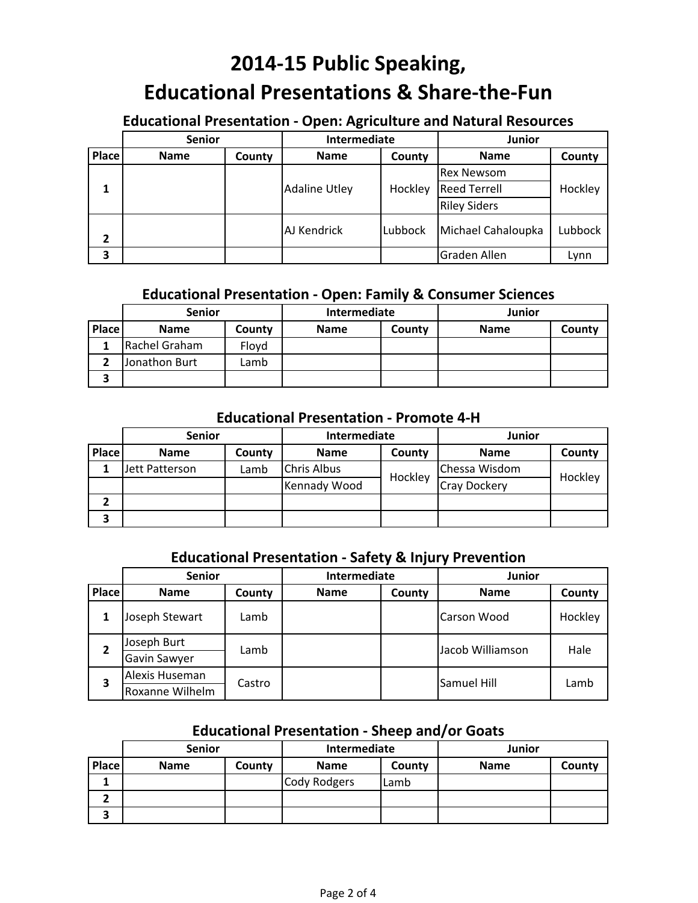### **Educational Presentation ‐ Open: Agriculture and Natural Resources**

|       | <b>Senior</b> |        | Intermediate         |         | Junior              |         |
|-------|---------------|--------|----------------------|---------|---------------------|---------|
| Place | <b>Name</b>   | County | <b>Name</b>          | County  | <b>Name</b>         | County  |
|       |               |        |                      |         | <b>Rex Newsom</b>   | Hockley |
|       |               |        | <b>Adaline Utley</b> | Hockley | <b>Reed Terrell</b> |         |
|       |               |        |                      |         | <b>Riley Siders</b> |         |
| 2     |               |        | AJ Kendrick          | Lubbock | Michael Cahaloupka  | Lubbock |
| 3     |               |        |                      |         | Graden Allen        | Lynn    |

#### **Educational Presentation ‐ Open: Family & Consumer Sciences**

|       | <b>Senior</b> |        | Intermediate |        | <b>Junior</b> |        |
|-------|---------------|--------|--------------|--------|---------------|--------|
| Place | <b>Name</b>   | County | <b>Name</b>  | County | <b>Name</b>   | County |
|       | Rachel Graham | Flovd  |              |        |               |        |
|       | Jonathon Burt | Lamb   |              |        |               |        |
|       |               |        |              |        |               |        |

#### **Educational Presentation ‐ Promote 4‐H**

|              | <b>Senior</b>  |        | Intermediate       |         | <b>Junior</b>       |         |
|--------------|----------------|--------|--------------------|---------|---------------------|---------|
| <b>Place</b> | <b>Name</b>    | County | <b>Name</b>        | County  | <b>Name</b>         | County  |
|              | Jett Patterson | Lamb   | <b>Chris Albus</b> | Hockley | Chessa Wisdom       | Hockley |
|              |                |        | Kennady Wood       |         | <b>Cray Dockery</b> |         |
|              |                |        |                    |         |                     |         |
| З            |                |        |                    |         |                     |         |

#### **Educational Presentation ‐ Safety & Injury Prevention**

|              | <b>Senior</b>   |        | Intermediate |                    | <b>Junior</b>      |         |
|--------------|-----------------|--------|--------------|--------------------|--------------------|---------|
| <b>Place</b> | <b>Name</b>     | County | <b>Name</b>  | County             | <b>Name</b>        | County  |
|              | Joseph Stewart  | Lamb   |              |                    | <b>Carson Wood</b> | Hockley |
| 2            | Joseph Burt     | Lamb   |              |                    | Jacob Williamson   | Hale    |
|              | Gavin Sawyer    |        |              |                    |                    |         |
| 3            | Alexis Huseman  |        |              | <b>Samuel Hill</b> | Lamb               |         |
|              | Roxanne Wilhelm | Castro |              |                    |                    |         |

#### **Educational Presentation ‐ Sheep and/or Goats**

|       | <b>Senior</b> |        | Intermediate |        | Junior      |        |
|-------|---------------|--------|--------------|--------|-------------|--------|
| Place | <b>Name</b>   | County | <b>Name</b>  | County | <b>Name</b> | County |
|       |               |        | Cody Rodgers | Lamb   |             |        |
| -     |               |        |              |        |             |        |
| 3     |               |        |              |        |             |        |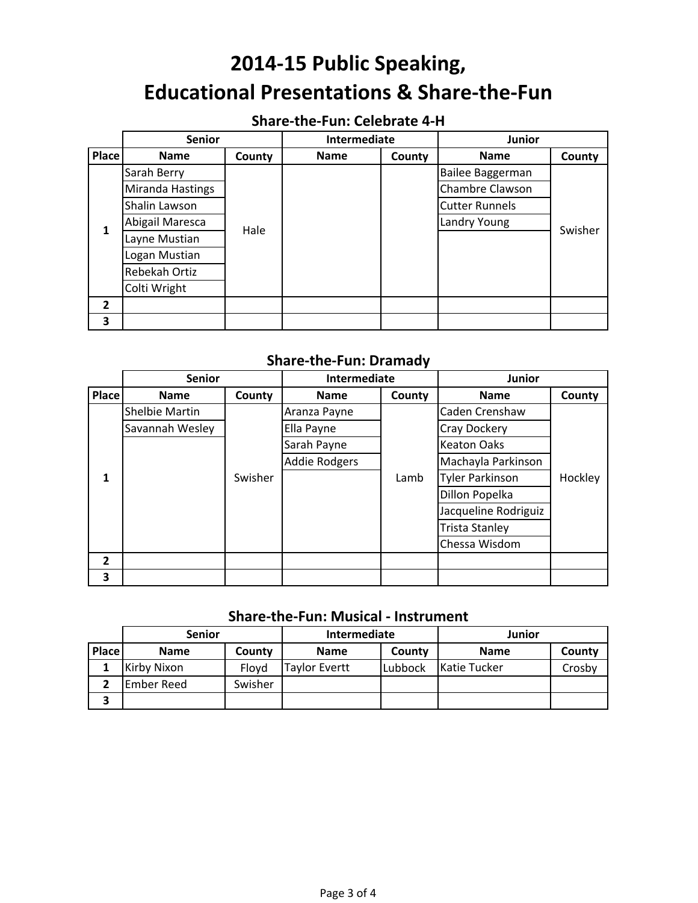## **Share‐the‐Fun: Celebrate 4‐H**

|                | <b>Senior</b>    |        | Intermediate |        | <b>Junior</b>         |         |
|----------------|------------------|--------|--------------|--------|-----------------------|---------|
| Place          | <b>Name</b>      | County | <b>Name</b>  | County | <b>Name</b>           | County  |
|                | Sarah Berry      |        |              |        | Bailee Baggerman      |         |
|                | Miranda Hastings | Hale   |              |        | Chambre Clawson       |         |
|                | Shalin Lawson    |        |              |        | <b>Cutter Runnels</b> |         |
| 1              | Abigail Maresca  |        |              |        | Landry Young          | Swisher |
|                | Layne Mustian    |        |              |        |                       |         |
|                | Logan Mustian    |        |              |        |                       |         |
|                | Rebekah Ortiz    |        |              |        |                       |         |
|                | Colti Wright     |        |              |        |                       |         |
| $\overline{2}$ |                  |        |              |        |                       |         |
| 3              |                  |        |              |        |                       |         |

#### **Share‐the‐Fun: Dramady**

|                | <b>Senior</b>   |         | Intermediate         |        | <b>Junior</b>          |         |
|----------------|-----------------|---------|----------------------|--------|------------------------|---------|
| <b>Place</b>   | <b>Name</b>     | County  | <b>Name</b>          | County | <b>Name</b>            | County  |
|                | Shelbie Martin  |         | Aranza Payne         |        | Caden Crenshaw         |         |
|                | Savannah Wesley |         | Ella Payne           |        | <b>Cray Dockery</b>    |         |
|                |                 |         | Sarah Payne          |        | <b>Keaton Oaks</b>     |         |
|                |                 |         | <b>Addie Rodgers</b> |        | Machayla Parkinson     |         |
| 1              |                 | Swisher |                      | Lamb   | <b>Tyler Parkinson</b> | Hockley |
|                |                 |         |                      |        | Dillon Popelka         |         |
|                |                 |         |                      |        | Jacqueline Rodriguiz   |         |
|                |                 |         |                      |        | <b>Trista Stanley</b>  |         |
|                |                 |         |                      |        | Chessa Wisdom          |         |
| $\overline{2}$ |                 |         |                      |        |                        |         |
| 3              |                 |         |                      |        |                        |         |

### **Share‐the‐Fun: Musical ‐ Instrument**

|       | <b>Senior</b>      |         | Intermediate  |         | Junior       |        |
|-------|--------------------|---------|---------------|---------|--------------|--------|
| Place | <b>Name</b>        | County  | <b>Name</b>   | County  | <b>Name</b>  | County |
|       | <b>Kirby Nixon</b> | Floyd   | Taylor Evertt | Lubbock | Katie Tucker | Crosbv |
|       | <b>Ember Reed</b>  | Swisher |               |         |              |        |
| 3     |                    |         |               |         |              |        |